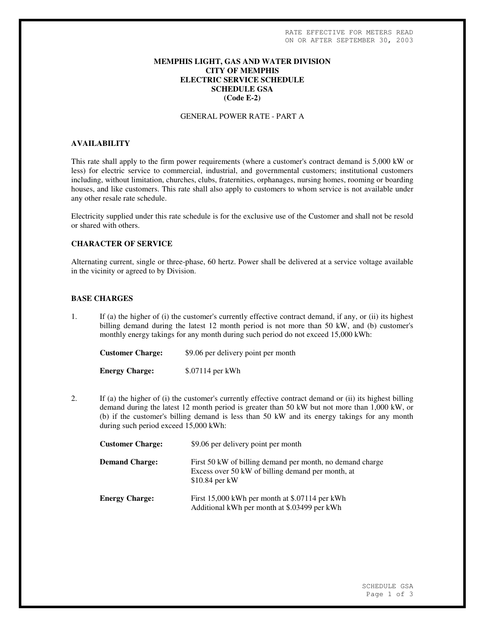## **MEMPHIS LIGHT, GAS AND WATER DIVISION CITY OF MEMPHIS ELECTRIC SERVICE SCHEDULE SCHEDULE GSA (Code E-2)**

### GENERAL POWER RATE - PART A

# **AVAILABILITY**

This rate shall apply to the firm power requirements (where a customer's contract demand is 5,000 kW or less) for electric service to commercial, industrial, and governmental customers; institutional customers including, without limitation, churches, clubs, fraternities, orphanages, nursing homes, rooming or boarding houses, and like customers. This rate shall also apply to customers to whom service is not available under any other resale rate schedule.

Electricity supplied under this rate schedule is for the exclusive use of the Customer and shall not be resold or shared with others.

# **CHARACTER OF SERVICE**

Alternating current, single or three-phase, 60 hertz. Power shall be delivered at a service voltage available in the vicinity or agreed to by Division.

## **BASE CHARGES**

1. If (a) the higher of (i) the customer's currently effective contract demand, if any, or (ii) its highest billing demand during the latest 12 month period is not more than 50 kW, and (b) customer's monthly energy takings for any month during such period do not exceed 15,000 kWh:

| <b>Customer Charge:</b> | \$9.06 per delivery point per month |
|-------------------------|-------------------------------------|
| <b>Energy Charge:</b>   | \$.07114 per kWh                    |

2. If (a) the higher of (i) the customer's currently effective contract demand or (ii) its highest billing demand during the latest 12 month period is greater than 50 kW but not more than 1,000 kW, or (b) if the customer's billing demand is less than 50 kW and its energy takings for any month during such period exceed 15,000 kWh:

| <b>Customer Charge:</b> | \$9.06 per delivery point per month                                                                                               |
|-------------------------|-----------------------------------------------------------------------------------------------------------------------------------|
| <b>Demand Charge:</b>   | First 50 kW of billing demand per month, no demand charge<br>Excess over 50 kW of billing demand per month, at<br>$$10.84$ per kW |
| <b>Energy Charge:</b>   | First 15,000 kWh per month at \$.07114 per kWh<br>Additional kWh per month at \$.03499 per kWh                                    |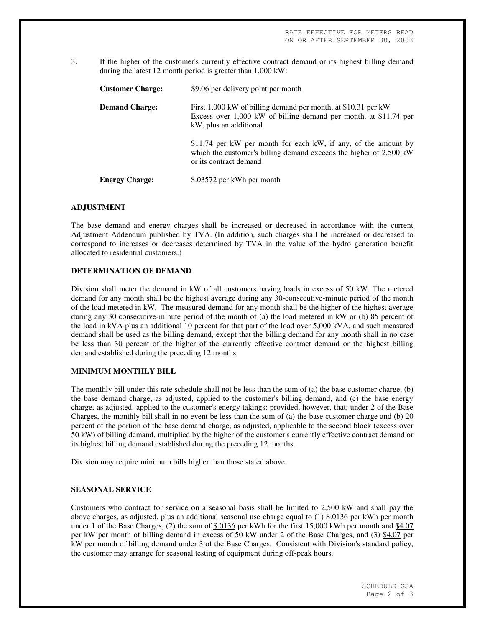3. If the higher of the customer's currently effective contract demand or its highest billing demand during the latest 12 month period is greater than 1,000 kW:

| <b>Customer Charge:</b> | \$9.06 per delivery point per month                                                                                                                            |
|-------------------------|----------------------------------------------------------------------------------------------------------------------------------------------------------------|
| <b>Demand Charge:</b>   | First 1,000 kW of billing demand per month, at \$10.31 per kW<br>Excess over 1,000 kW of billing demand per month, at \$11.74 per<br>kW, plus an additional    |
|                         | \$11.74 per kW per month for each kW, if any, of the amount by<br>which the customer's billing demand exceeds the higher of 2,500 kW<br>or its contract demand |
| <b>Energy Charge:</b>   | \$.03572 per kWh per month                                                                                                                                     |

#### **ADJUSTMENT**

The base demand and energy charges shall be increased or decreased in accordance with the current Adjustment Addendum published by TVA. (In addition, such charges shall be increased or decreased to correspond to increases or decreases determined by TVA in the value of the hydro generation benefit allocated to residential customers.)

#### **DETERMINATION OF DEMAND**

Division shall meter the demand in kW of all customers having loads in excess of 50 kW. The metered demand for any month shall be the highest average during any 30-consecutive-minute period of the month of the load metered in kW. The measured demand for any month shall be the higher of the highest average during any 30 consecutive-minute period of the month of (a) the load metered in kW or (b) 85 percent of the load in kVA plus an additional 10 percent for that part of the load over 5,000 kVA, and such measured demand shall be used as the billing demand, except that the billing demand for any month shall in no case be less than 30 percent of the higher of the currently effective contract demand or the highest billing demand established during the preceding 12 months.

#### **MINIMUM MONTHLY BILL**

The monthly bill under this rate schedule shall not be less than the sum of (a) the base customer charge, (b) the base demand charge, as adjusted, applied to the customer's billing demand, and (c) the base energy charge, as adjusted, applied to the customer's energy takings; provided, however, that, under 2 of the Base Charges, the monthly bill shall in no event be less than the sum of (a) the base customer charge and (b) 20 percent of the portion of the base demand charge, as adjusted, applicable to the second block (excess over 50 kW) of billing demand, multiplied by the higher of the customer's currently effective contract demand or its highest billing demand established during the preceding 12 months.

Division may require minimum bills higher than those stated above.

## **SEASONAL SERVICE**

Customers who contract for service on a seasonal basis shall be limited to 2,500 kW and shall pay the above charges, as adjusted, plus an additional seasonal use charge equal to  $(1)$  \$.0136 per kWh per month under 1 of the Base Charges, (2) the sum of  $$.0136$  per kWh for the first 15,000 kWh per month and  $$4.07$ per kW per month of billing demand in excess of 50 kW under 2 of the Base Charges, and (3) \$4.07 per kW per month of billing demand under 3 of the Base Charges. Consistent with Division's standard policy, the customer may arrange for seasonal testing of equipment during off-peak hours.